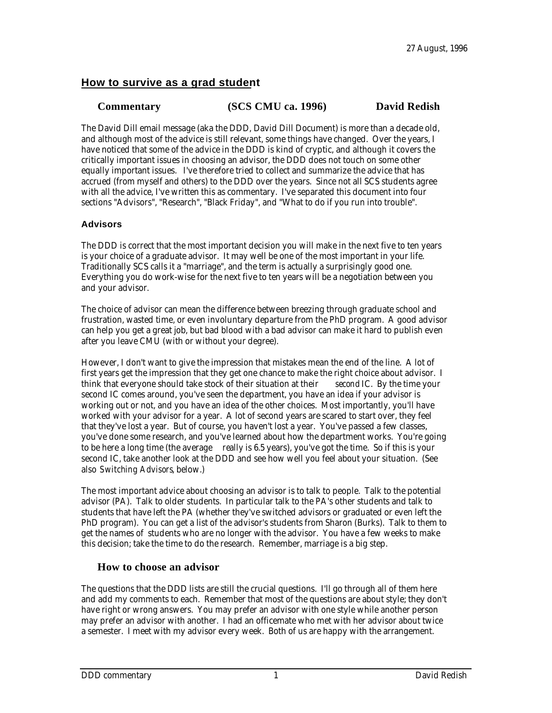### **How to survive as a grad student**

### **Commentary (SCS CMU ca. 1996) David Redish**

The David Dill email message (aka the DDD, David Dill Document) is more than a decade old, and although most of the advice is still relevant, some things have changed. Over the years, I have noticed that some of the advice in the DDD is kind of cryptic, and although it covers the critically important issues in choosing an advisor, the DDD does not touch on some other equally important issues. I've therefore tried to collect and summarize the advice that has accrued (from myself and others) to the DDD over the years. Since not all SCS students agree with all the advice, I've written this as commentary. I've separated this document into four sections "Advisors", "Research", "Black Friday", and "What to do if you run into trouble".

### **Advisors**

The DDD is correct that the most important decision you will make in the next five to ten years is your choice of a graduate advisor. It may well be one of the most important in your life. Traditionally SCS calls it a "marriage", and the term is actually a surprisingly good one. Everything you do work-wise for the next five to ten years will be a negotiation between you and your advisor.

The choice of advisor can mean the difference between breezing through graduate school and frustration, wasted time, or even involuntary departure from the PhD program. A good advisor can help you get a great job, but bad blood with a bad advisor can make it hard to publish even after you leave CMU (with or without your degree).

However, I don't want to give the impression that mistakes mean the end of the line. A lot of first years get the impression that they get one chance to make the right choice about advisor. I think that everyone should take stock of their situation at their *second* IC. By the time your second IC comes around, you've seen the department, you have an idea if your advisor is working out or not, and you have an idea of the other choices. Most importantly, you'll have worked with your advisor for a year. A lot of second years are scared to start over, they feel that they've lost a year. But of course, you haven't lost a year. You've passed a few classes, you've done some research, and you've learned about how the department works. You're going to be here a long time (the average *really* is 6.5 years), you've got the time. So if this is your second IC, take another look at the DDD and see how well you feel about your situation. (See also *Switching Advisors*, below.)

The most important advice about choosing an advisor is to talk to people. Talk to the potential advisor (PA). Talk to older students. In particular talk to the PA's other students and talk to students that have left the PA (whether they've switched advisors or graduated or even left the PhD program). You can get a list of the advisor's students from Sharon (Burks). Talk to them to get the names of students who are no longer with the advisor. You have a few weeks to make this decision; take the time to do the research. Remember, marriage is a big step.

### **How to choose an advisor**

The questions that the DDD lists are still the crucial questions. I'll go through all of them here and add my comments to each. Remember that most of the questions are about style; they don't have right or wrong answers. You may prefer an advisor with one style while another person may prefer an advisor with another. I had an officemate who met with her advisor about twice a semester. I meet with my advisor every week. Both of us are happy with the arrangement.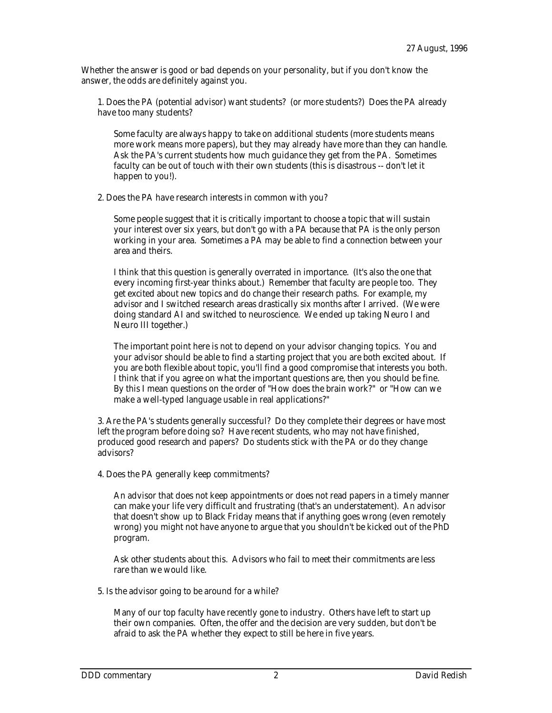Whether the answer is good or bad depends on your personality, but if you don't know the answer, the odds are definitely against you.

1. Does the PA (potential advisor) want students? (or more students?) Does the PA already have too many students?

Some faculty are always happy to take on additional students (more students means more work means more papers), but they may already have more than they can handle. Ask the PA's current students how much guidance they get from the PA. Sometimes faculty can be out of touch with their own students (this is disastrous -- don't let it happen to you!).

2. Does the PA have research interests in common with you?

Some people suggest that it is critically important to choose a topic that will sustain your interest over six years, but don't go with a PA because that PA is the only person working in your area. Sometimes a PA may be able to find a connection between your area and theirs.

I think that this question is generally overrated in importance. (It's also the one that every incoming first-year thinks about.) Remember that faculty are people too. They get excited about new topics and do change their research paths. For example, my advisor and I switched research areas drastically six months after I arrived. (We were doing standard AI and switched to neuroscience. We ended up taking Neuro I and Neuro III together.)

The important point here is not to depend on your advisor changing topics. You and your advisor should be able to find a starting project that you are both excited about. If you are both flexible about topic, you'll find a good compromise that interests you both. I think that if you agree on what the important questions are, then you should be fine. By this I mean questions on the order of "How does the brain work?" or "How can we make a well-typed language usable in real applications?"

3. Are the PA's students generally successful? Do they complete their degrees or have most left the program before doing so? Have recent students, who may not have finished, produced good research and papers? Do students stick with the PA or do they change advisors?

4. Does the PA generally keep commitments?

An advisor that does not keep appointments or does not read papers in a timely manner can make your life very difficult and frustrating (that's an understatement). An advisor that doesn't show up to Black Friday means that if anything goes wrong (even remotely wrong) you might not have anyone to argue that you shouldn't be kicked out of the PhD program.

Ask other students about this. Advisors who fail to meet their commitments are less rare than we would like.

5. Is the advisor going to be around for a while?

Many of our top faculty have recently gone to industry. Others have left to start up their own companies. Often, the offer and the decision are very sudden, but don't be afraid to ask the PA whether they expect to still be here in five years.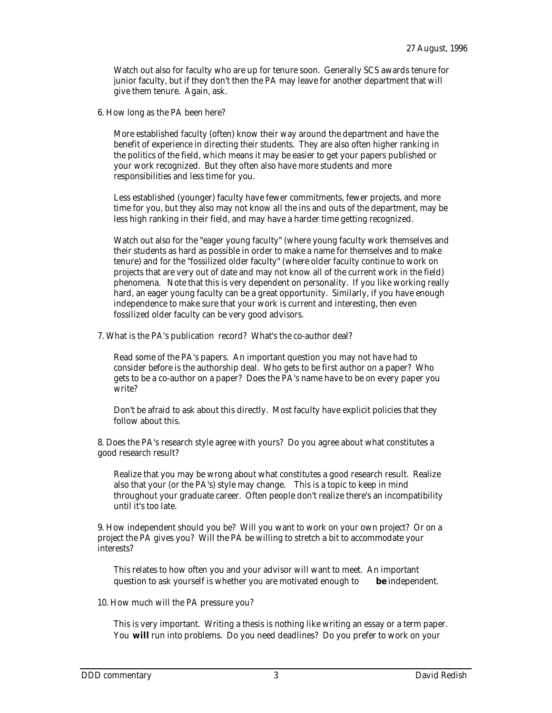Watch out also for faculty who are up for tenure soon. Generally SCS awards tenure for junior faculty, but if they don't then the PA may leave for another department that will give them tenure. Again, ask.

6. How long as the PA been here?

More established faculty (often) know their way around the department and have the benefit of experience in directing their students. They are also often higher ranking in the politics of the field, which means it may be easier to get your papers published or your work recognized. But they often also have more students and more responsibilities and less time for you.

Less established (younger) faculty have fewer commitments, fewer projects, and more time for you, but they also may not know all the ins and outs of the department, may be less high ranking in their field, and may have a harder time getting recognized.

Watch out also for the "eager young faculty" (where young faculty work themselves and their students as hard as possible in order to make a name for themselves and to make tenure) and for the "fossilized older faculty" (where older faculty continue to work on projects that are very out of date and may not know all of the current work in the field) phenomena. Note that this is very dependent on personality. If you like working really hard, an eager young faculty can be a great opportunity. Similarly, if you have enough independence to make sure that your work is current and interesting, then even fossilized older faculty can be very good advisors.

7. What is the PA's publication record? What's the co-author deal?

Read some of the PA's papers. An important question you may not have had to consider before is the authorship deal. Who gets to be first author on a paper? Who gets to be a co-author on a paper? Does the PA's name have to be on every paper you write?

Don't be afraid to ask about this directly. Most faculty have explicit policies that they follow about this.

8. Does the PA's research style agree with yours? Do you agree about what constitutes a good research result?

Realize that you may be wrong about what constitutes a good research result. Realize also that your (or the PA's) style may change. This is a topic to keep in mind throughout your graduate career. Often people don't realize there's an incompatibility until it's too late.

9. How independent should you be? Will you want to work on your own project? Or on a project the PA gives you? Will the PA be willing to stretch a bit to accommodate your interests?

This relates to how often you and your advisor will want to meet. An important question to ask yourself is whether you are motivated enough to **be** independent.

10. How much will the PA pressure you?

This is very important. Writing a thesis is nothing like writing an essay or a term paper. You **will** run into problems. Do you need deadlines? Do you prefer to work on your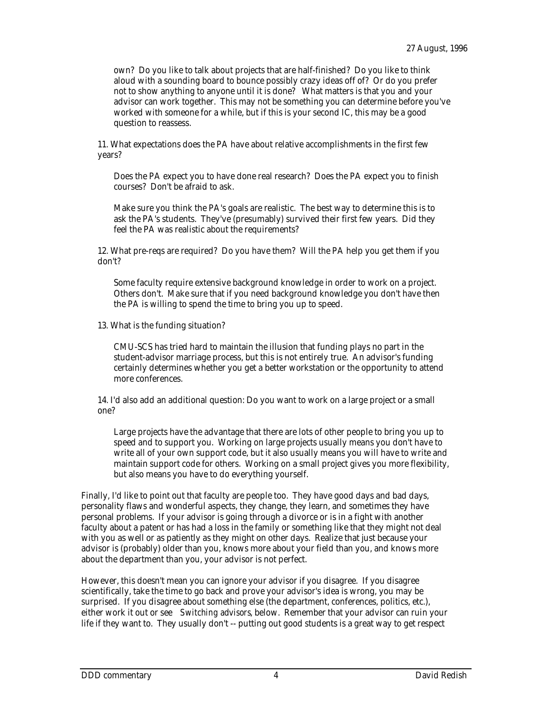own? Do you like to talk about projects that are half-finished? Do you like to think aloud with a sounding board to bounce possibly crazy ideas off of? Or do you prefer not to show anything to anyone until it is done? What matters is that you and your advisor can work together. This may not be something you can determine before you've worked with someone for a while, but if this is your second IC, this may be a good question to reassess.

11. What expectations does the PA have about relative accomplishments in the first few years?

Does the PA expect you to have done real research? Does the PA expect you to finish courses? Don't be afraid to ask.

Make sure you think the PA's goals are realistic. The best way to determine this is to ask the PA's students. They've (presumably) survived their first few years. Did they feel the PA was realistic about the requirements?

12. What pre-reqs are required? Do you have them? Will the PA help you get them if you don't?

Some faculty require extensive background knowledge in order to work on a project. Others don't. Make sure that if you need background knowledge you don't have then the PA is willing to spend the time to bring you up to speed.

13. What is the funding situation?

CMU-SCS has tried hard to maintain the illusion that funding plays no part in the student-advisor marriage process, but this is not entirely true. An advisor's funding certainly determines whether you get a better workstation or the opportunity to attend more conferences.

14. I'd also add an additional question: Do you want to work on a large project or a small one?

Large projects have the advantage that there are lots of other people to bring you up to speed and to support you. Working on large projects usually means you don't have to write all of your own support code, but it also usually means you will have to write and maintain support code for others. Working on a small project gives you more flexibility, but also means you have to do everything yourself.

Finally, I'd like to point out that faculty are people too. They have good days and bad days, personality flaws and wonderful aspects, they change, they learn, and sometimes they have personal problems. If your advisor is going through a divorce or is in a fight with another faculty about a patent or has had a loss in the family or something like that they might not deal with you as well or as patiently as they might on other days. Realize that just because your advisor is (probably) older than you, knows more about your field than you, and knows more about the department than you, your advisor is not perfect.

However, this doesn't mean you can ignore your advisor if you disagree. If you disagree scientifically, take the time to go back and prove your advisor's idea is wrong, you may be surprised. If you disagree about something else (the department, conferences, politics, etc.), either work it out or see *Switching advisors*, below. Remember that your advisor can ruin your life if they want to. They usually don't -- putting out good students is a great way to get respect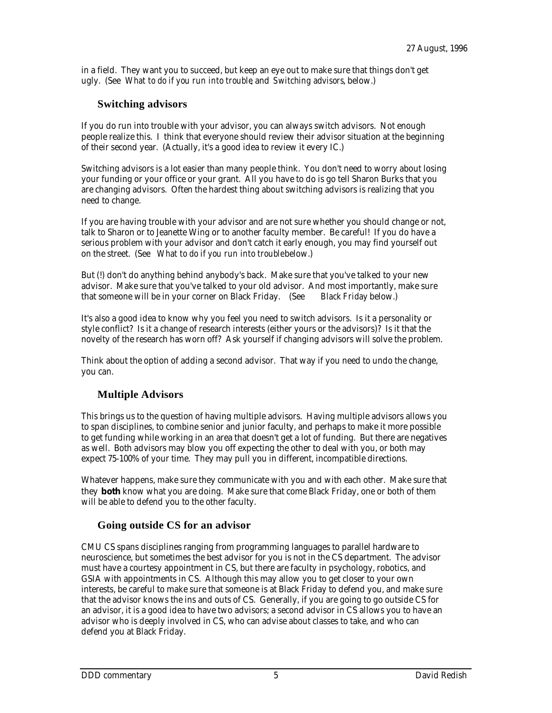in a field. They want you to succeed, but keep an eye out to make sure that things don't get ugly. (See *What to do if you run into trouble*, and *Switching advisors*, below.)

### **Switching advisors**

If you do run into trouble with your advisor, you can always switch advisors. Not enough people realize this. I think that everyone should review their advisor situation at the beginning of their second year. (Actually, it's a good idea to review it every IC.)

Switching advisors is a lot easier than many people think. You don't need to worry about losing your funding or your office or your grant. All you have to do is go tell Sharon Burks that you are changing advisors. Often the hardest thing about switching advisors is realizing that you need to change.

If you are having trouble with your advisor and are not sure whether you should change or not, talk to Sharon or to Jeanette Wing or to another faculty member. Be careful! If you do have a serious problem with your advisor and don't catch it early enough, you may find yourself out on the street. (See *What to do if you run into trouble* below.)

But (!) don't do anything behind anybody's back. Make sure that you've talked to your new advisor. Make sure that you've talked to your old advisor. And most importantly, make sure that someone will be in your corner on Black Friday. (See Black Friday below.) that someone will be in your corner on Black Friday. (See

It's also a good idea to know why you feel you need to switch advisors. Is it a personality or style conflict? Is it a change of research interests (either yours or the advisors)? Is it that the novelty of the research has worn off? Ask yourself if changing advisors will solve the problem.

Think about the option of adding a second advisor. That way if you need to undo the change, you can.

# **Multiple Advisors**

This brings us to the question of having multiple advisors. Having multiple advisors allows you to span disciplines, to combine senior and junior faculty, and perhaps to make it more possible to get funding while working in an area that doesn't get a lot of funding. But there are negatives as well. Both advisors may blow you off expecting the other to deal with you, or both may expect 75-100% of your time. They may pull you in different, incompatible directions.

Whatever happens, make sure they communicate with you and with each other. Make sure that they **both** know what you are doing. Make sure that come Black Friday, one or both of them will be able to defend you to the other faculty.

### **Going outside CS for an advisor**

CMU CS spans disciplines ranging from programming languages to parallel hardware to neuroscience, but sometimes the best advisor for you is not in the CS department. The advisor must have a courtesy appointment in CS, but there are faculty in psychology, robotics, and GSIA with appointments in CS. Although this may allow you to get closer to your own interests, be careful to make sure that someone is at Black Friday to defend you, and make sure that the advisor knows the ins and outs of CS. Generally, if you are going to go outside CS for an advisor, it is a good idea to have two advisors; a second advisor in CS allows you to have an advisor who is deeply involved in CS, who can advise about classes to take, and who can defend you at Black Friday.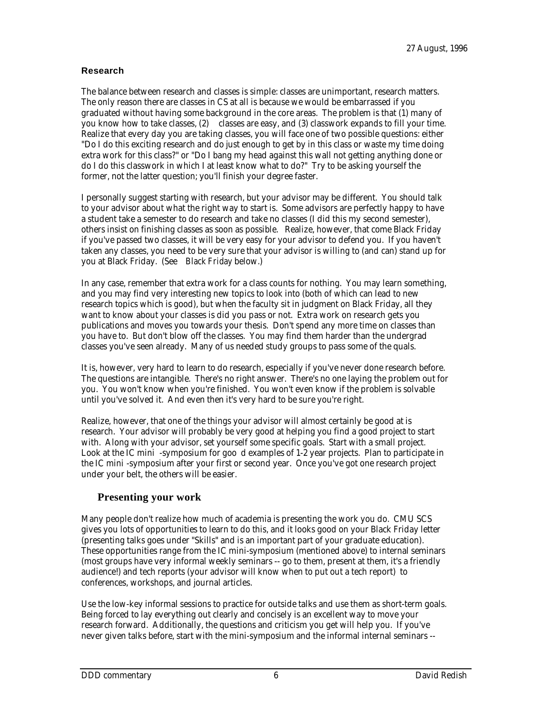#### **Research**

The balance between research and classes is simple: classes are unimportant, research matters. The only reason there are classes in CS at all is because we would be embarrassed if you graduated without having some background in the core areas. The problem is that (1) many of you know how to take classes, (2) classes are easy, and (3) classwork expands to fill your time. Realize that every day you are taking classes, you will face one of two possible questions: either "Do I do this exciting research and do just enough to get by in this class or waste my time doing extra work for this class?" or "Do I bang my head against this wall not getting anything done or do I do this classwork in which I at least know what to do?" Try to be asking yourself the former, not the latter question; you'll finish your degree faster.

I personally suggest starting with research, but your advisor may be different. You should talk to your advisor about what the right way to start is. Some advisors are perfectly happy to have a student take a semester to do research and take no classes (I did this my second semester), others insist on finishing classes as soon as possible. Realize, however, that come Black Friday if you've passed two classes, it will be very easy for your advisor to defend you. If you haven't taken any classes, you need to be very sure that your advisor is willing to (and can) stand up for you at Black Friday. (See *Black Friday* below.)

In any case, remember that extra work for a class counts for nothing. You may learn something, and you may find very interesting new topics to look into (both of which can lead to new research topics which is good), but when the faculty sit in judgment on Black Friday, all they want to know about your classes is did you pass or not. Extra work on research gets you publications and moves you towards your thesis. Don't spend any more time on classes than you have to. But don't blow off the classes. You may find them harder than the undergrad classes you've seen already. Many of us needed study groups to pass some of the quals.

It is, however, very hard to learn to do research, especially if you've never done research before. The questions are intangible. There's no right answer. There's no one laying the problem out for you. You won't know when you're finished. You won't even know if the problem is solvable until you've solved it. And even then it's very hard to be sure you're right.

Realize, however, that one of the things your advisor will almost certainly be good at is research. Your advisor will probably be very good at helping you find a good project to start with. Along with your advisor, set yourself some specific goals. Start with a small project. Look at the IC mini -symposium for goo d examples of 1-2 year projects. Plan to participate in the IC mini -symposium after your first or second year. Once you've got one research project under your belt, the others will be easier.

### **Presenting your work**

Many people don't realize how much of academia is presenting the work you do. CMU SCS gives you lots of opportunities to learn to do this, and it looks good on your Black Friday letter (presenting talks goes under "Skills" and is an important part of your graduate education). These opportunities range from the IC mini-symposium (mentioned above) to internal seminars (most groups have very informal weekly seminars -- go to them, present at them, it's a friendly audience!) and tech reports (your advisor will know when to put out a tech report) to conferences, workshops, and journal articles.

Use the low-key informal sessions to practice for outside talks and use them as short-term goals. Being forced to lay everything out clearly and concisely is an excellent way to move your research forward. Additionally, the questions and criticism you get will help you. If you've never given talks before, start with the mini-symposium and the informal internal seminars --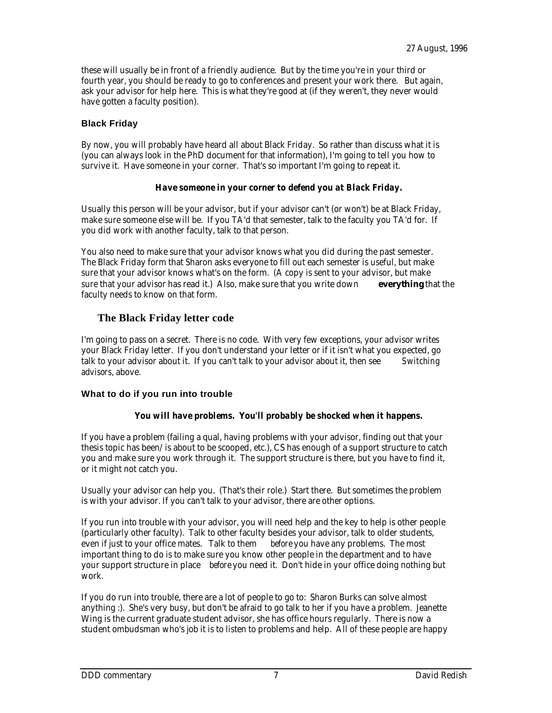these will usually be in front of a friendly audience. But by the time you're in your third or fourth year, you should be ready to go to conferences and present your work there. But again, ask your advisor for help here. This is what they're good at (if they weren't, they never would have gotten a faculty position).

### **Black Friday**

By now, you will probably have heard all about Black Friday. So rather than discuss what it is (you can always look in the PhD document for that information), I'm going to tell you how to survive it. Have someone in your corner. That's so important I'm going to repeat it.

### *Have someone in your corner to defend you at Black Friday.*

Usually this person will be your advisor, but if your advisor can't (or won't) be at Black Friday, make sure someone else will be. If you TA'd that semester, talk to the faculty you TA'd for. If you did work with another faculty, talk to that person.

You also need to make sure that your advisor knows what you did during the past semester. The Black Friday form that Sharon asks everyone to fill out each semester is useful, but make sure that your advisor knows what's on the form. (A copy is sent to your advisor, but make sure that your advisor has read it.) Also, make sure that you write down **everything** that the faculty needs to know on that form.

## **The Black Friday letter code**

I'm going to pass on a secret. There is no code. With very few exceptions, your advisor writes your Black Friday letter. If you don't understand your letter or if it isn't what you expected, go talk to your advisor about it. If you can't talk to your advisor about it, then see *Switching advisors*, above.

### **What to do if you run into trouble**

### *You will have problems. You'll probably be shocked when it happens.*

If you have a problem (failing a qual, having problems with your advisor, finding out that your thesis topic has been/is about to be scooped, etc.), CS has enough of a support structure to catch you and make sure you work through it. The support structure is there, but you have to find it, or it might not catch you.

Usually your advisor can help you. (That's their role.) Start there. But sometimes the problem is with your advisor. If you can't talk to your advisor, there are other options.

If you run into trouble with your advisor, you will need help and the key to help is other people (particularly other faculty). Talk to other faculty besides your advisor, talk to older students, even if just to your office mates. Talk to them *before* you have any problems. The most important thing to do is to make sure you know other people in the department and to have your support structure in place *before* you need it. Don't hide in your office doing nothing but work.

If you do run into trouble, there are a lot of people to go to: Sharon Burks can solve almost anything :). She's very busy, but don't be afraid to go talk to her if you have a problem. Jeanette Wing is the current graduate student advisor, she has office hours regularly. There is now a student ombudsman who's job it is to listen to problems and help. All of these people are happy